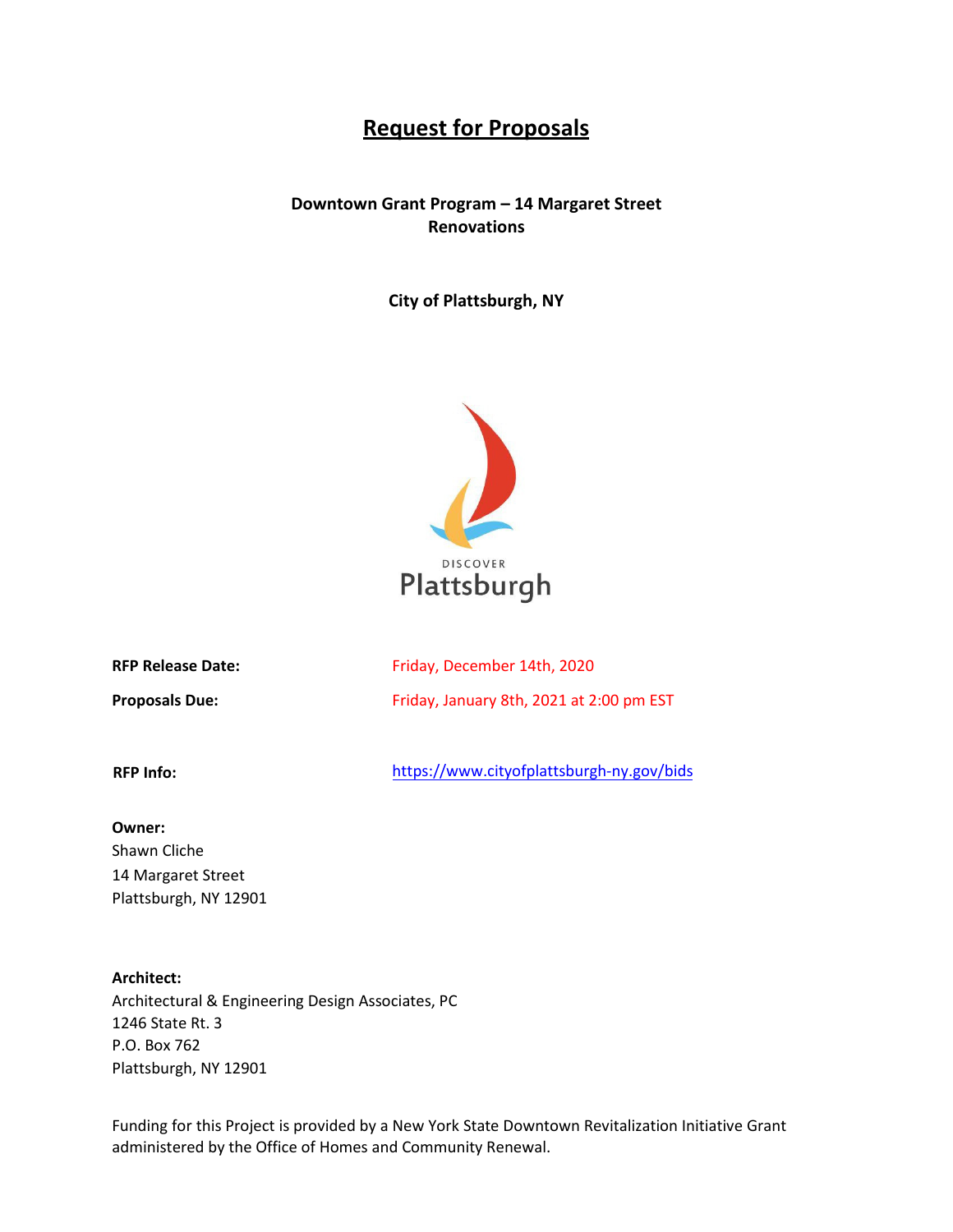# **Request for Proposals**

# **Downtown Grant Program – 14 Margaret Street Renovations**

**City of Plattsburgh, NY**



| <b>RFP Release Date:</b> |  |
|--------------------------|--|
|                          |  |

**Proposals Due:**

Friday, December 14th, 2020 Friday, January 8th, 2021 at 2:00 pm EST

**RFP Info:** 

<https://www.cityofplattsburgh-ny.gov/bids>

#### **Owner:**

Shawn Cliche 14 Margaret Street Plattsburgh, NY 12901

# **Architect:**

Architectural & Engineering Design Associates, PC 1246 State Rt. 3 P.O. Box 762 Plattsburgh, NY 12901

Funding for this Project is provided by a New York State Downtown Revitalization Initiative Grant administered by the Office of Homes and Community Renewal.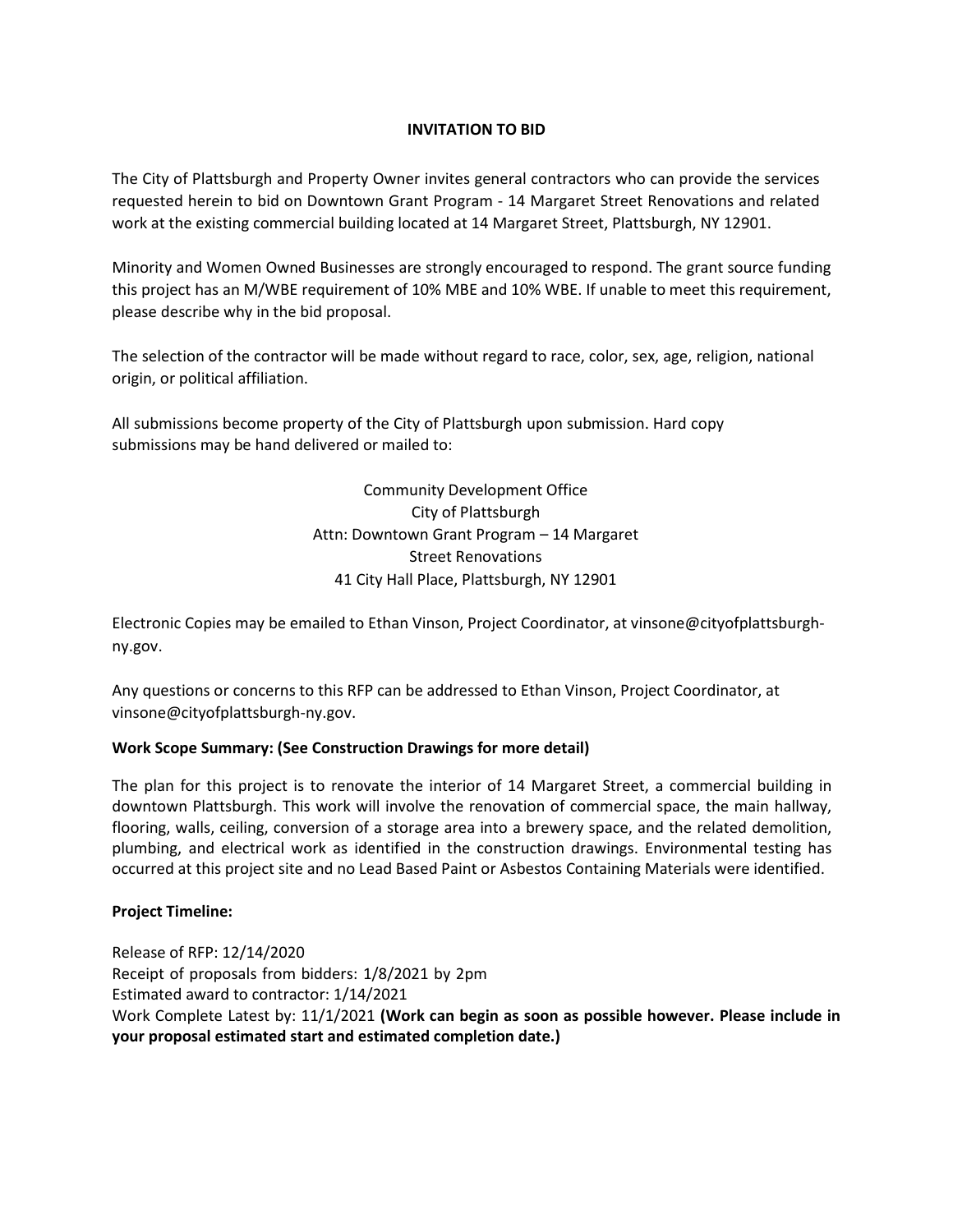# **INVITATION TO BID**

The City of Plattsburgh and Property Owner invites general contractors who can provide the services requested herein to bid on Downtown Grant Program - 14 Margaret Street Renovations and related work at the existing commercial building located at 14 Margaret Street, Plattsburgh, NY 12901.

Minority and Women Owned Businesses are strongly encouraged to respond. The grant source funding this project has an M/WBE requirement of 10% MBE and 10% WBE. If unable to meet this requirement, please describe why in the bid proposal.

The selection of the contractor will be made without regard to race, color, sex, age, religion, national origin, or political affiliation.

All submissions become property of the City of Plattsburgh upon submission. Hard copy submissions may be hand delivered or mailed to:

> Community Development Office City of Plattsburgh Attn: Downtown Grant Program – 14 Margaret Street Renovations 41 City Hall Place, Plattsburgh, NY 12901

Electronic Copies may be emailed to Ethan Vinson, Project Coordinator, at vinsone@cityofplattsburghny.gov.

Any questions or concerns to this RFP can be addressed to Ethan Vinson, Project Coordinator, a[t](mailto:vinsone@cityofplattsburgh-ny.gov) [vinsone@cityofplattsburgh-ny.gov.](mailto:vinsone@cityofplattsburgh-ny.gov)

# **Work Scope Summary: (See Construction Drawings for more detail)**

The plan for this project is to renovate the interior of 14 Margaret Street, a commercial building in downtown Plattsburgh. This work will involve the renovation of commercial space, the main hallway, flooring, walls, ceiling, conversion of a storage area into a brewery space, and the related demolition, plumbing, and electrical work as identified in the construction drawings. Environmental testing has occurred at this project site and no Lead Based Paint or Asbestos Containing Materials were identified.

# **Project Timeline:**

Release of RFP: 12/14/2020 Receipt of proposals from bidders: 1/8/2021 by 2pm Estimated award to contractor: 1/14/2021 Work Complete Latest by: 11/1/2021 **(Work can begin as soon as possible however. Please include in your proposal estimated start and estimated completion date.)**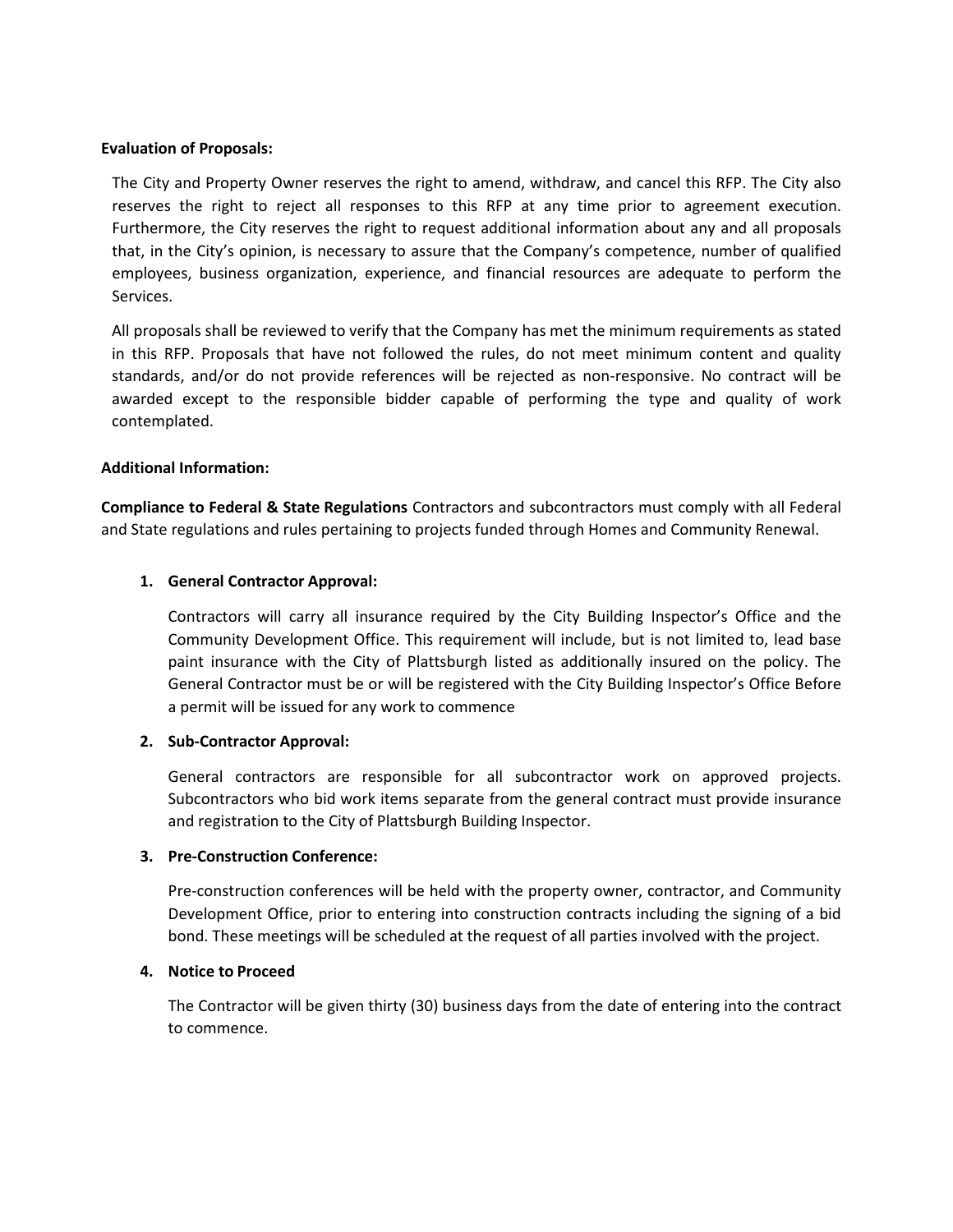#### **Evaluation of Proposals:**

The City and Property Owner reserves the right to amend, withdraw, and cancel this RFP. The City also reserves the right to reject all responses to this RFP at any time prior to agreement execution. Furthermore, the City reserves the right to request additional information about any and all proposals that, in the City's opinion, is necessary to assure that the Company's competence, number of qualified employees, business organization, experience, and financial resources are adequate to perform the Services.

All proposals shall be reviewed to verify that the Company has met the minimum requirements as stated in this RFP. Proposals that have not followed the rules, do not meet minimum content and quality standards, and/or do not provide references will be rejected as non-responsive. No contract will be awarded except to the responsible bidder capable of performing the type and quality of work contemplated.

### **Additional Information:**

**Compliance to Federal & State Regulations** Contractors and subcontractors must comply with all Federal and State regulations and rules pertaining to projects funded through Homes and Community Renewal.

### **1. General Contractor Approval:**

Contractors will carry all insurance required by the City Building Inspector's Office and the Community Development Office. This requirement will include, but is not limited to, lead base paint insurance with the City of Plattsburgh listed as additionally insured on the policy. The General Contractor must be or will be registered with the City Building Inspector's Office Before a permit will be issued for any work to commence

#### **2. Sub-Contractor Approval:**

General contractors are responsible for all subcontractor work on approved projects. Subcontractors who bid work items separate from the general contract must provide insurance and registration to the City of Plattsburgh Building Inspector.

### **3. Pre-Construction Conference:**

Pre-construction conferences will be held with the property owner, contractor, and Community Development Office, prior to entering into construction contracts including the signing of a bid bond. These meetings will be scheduled at the request of all parties involved with the project.

#### **4. Notice to Proceed**

The Contractor will be given thirty (30) business days from the date of entering into the contract to commence.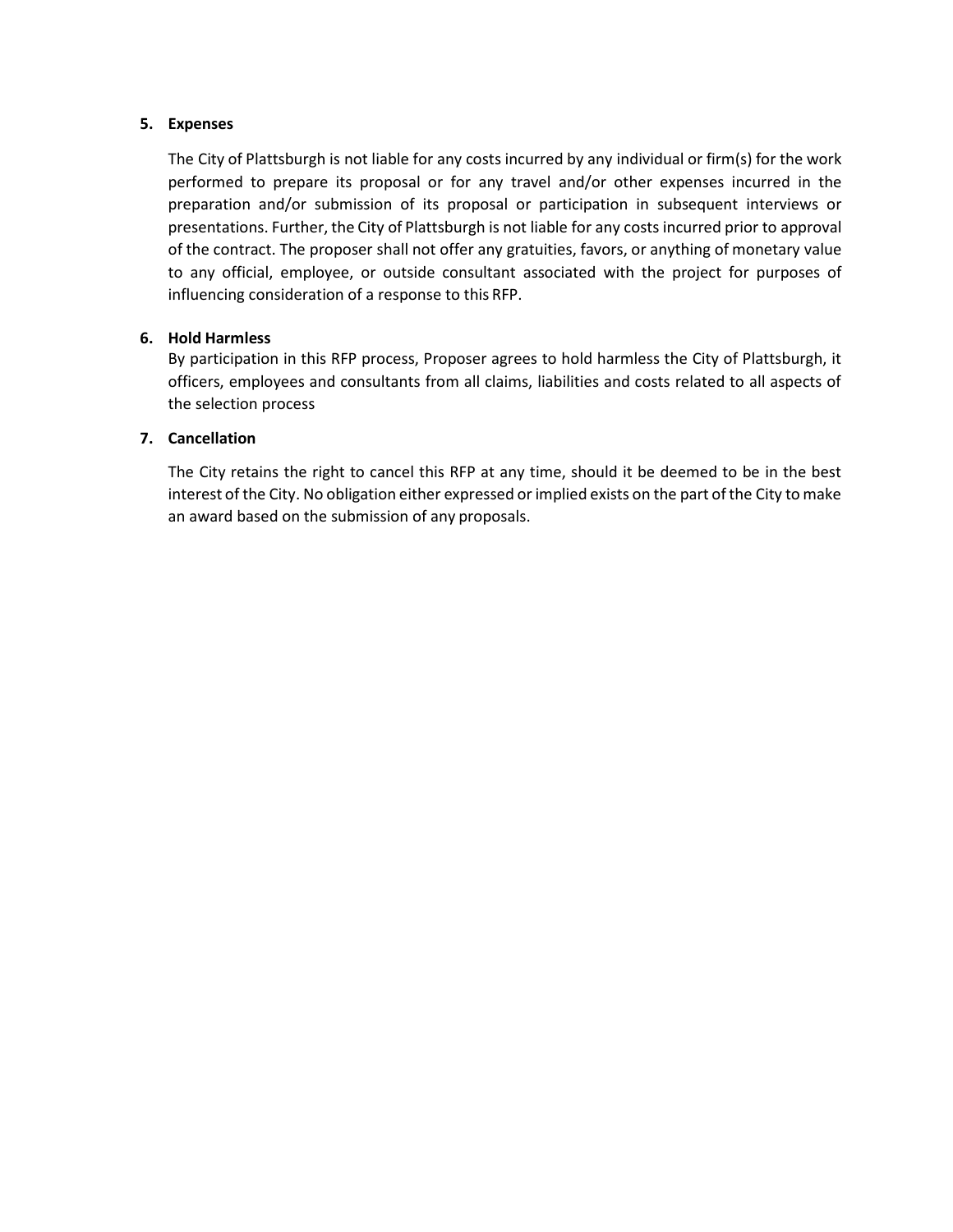# **5. Expenses**

The City of Plattsburgh is not liable for any costs incurred by any individual or firm(s) for the work performed to prepare its proposal or for any travel and/or other expenses incurred in the preparation and/or submission of its proposal or participation in subsequent interviews or presentations. Further, the City of Plattsburgh is not liable for any costs incurred prior to approval of the contract. The proposer shall not offer any gratuities, favors, or anything of monetary value to any official, employee, or outside consultant associated with the project for purposes of influencing consideration of a response to this RFP.

# **6. Hold Harmless**

By participation in this RFP process, Proposer agrees to hold harmless the City of Plattsburgh, it officers, employees and consultants from all claims, liabilities and costs related to all aspects of the selection process

# **7. Cancellation**

The City retains the right to cancel this RFP at any time, should it be deemed to be in the best interest of the City. No obligation either expressed or implied exists on the part of the City to make an award based on the submission of any proposals.